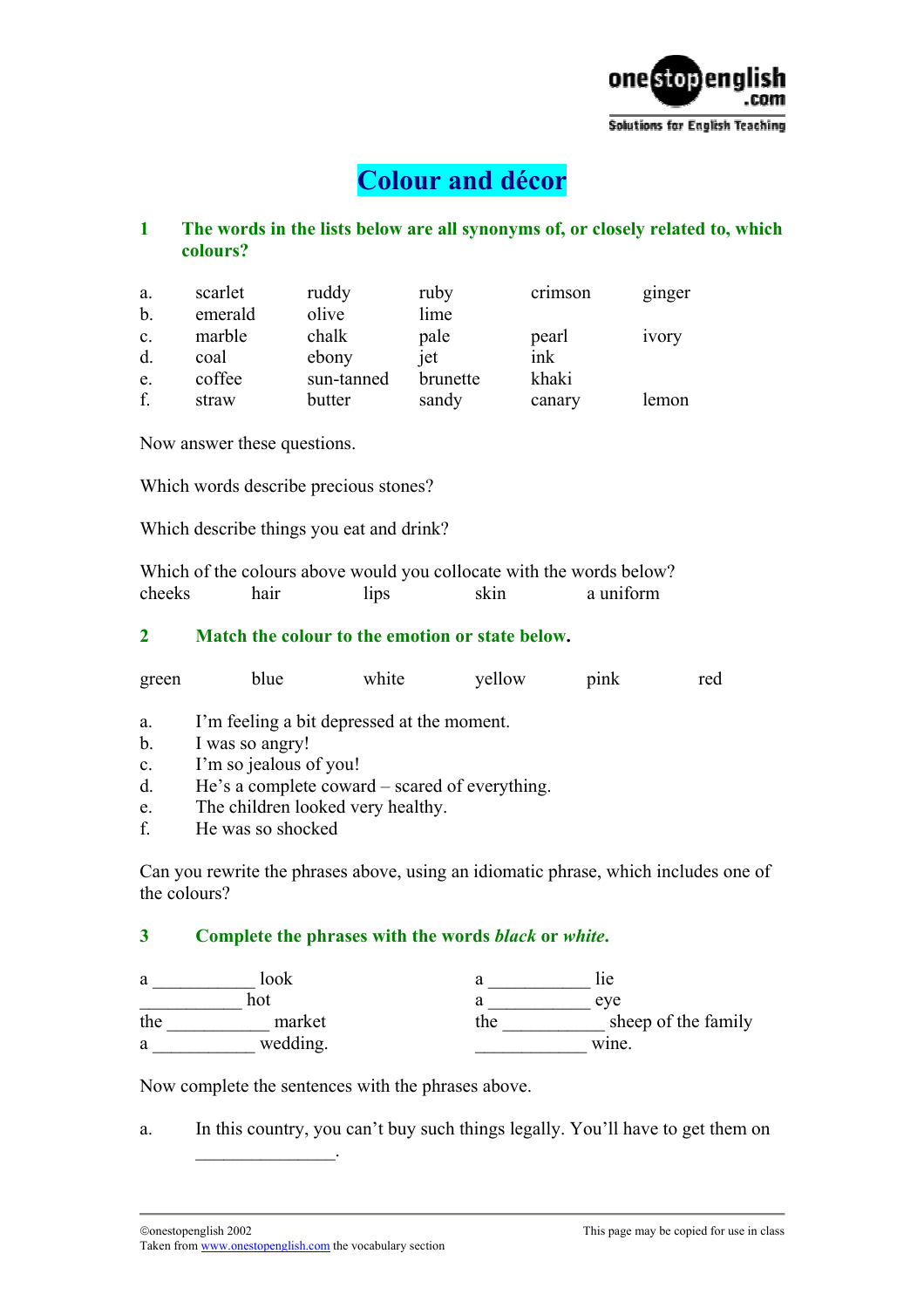

# **Colour and décor**

# **1 The words in the lists below are all synonyms of, or closely related to, which colours?**

| a.             | scarlet | ruddy      | ruby     | crimson | ginger |
|----------------|---------|------------|----------|---------|--------|
| b.             | emerald | olive      | lime     |         |        |
| $\mathbf{c}$ . | marble  | chalk      | pale     | pearl   | ivory  |
| d.             | coal    | ebony      | jet      | ink     |        |
| e.             | coffee  | sun-tanned | brunette | khaki   |        |
| f.             | straw   | butter     | sandy    | canary  | lemon  |

Now answer these questions.

Which words describe precious stones?

Which describe things you eat and drink?

Which of the colours above would you collocate with the words below? cheeks hair lips skin a uniform

#### **2 Match the colour to the emotion or state below.**

|       |      | white | vellow | pink | red |
|-------|------|-------|--------|------|-----|
| green | blue |       |        |      |     |

- a. I'm feeling a bit depressed at the moment.
- b. I was so angry!
- c. I'm so jealous of you!
- d. He's a complete coward scared of everything.
- e. The children looked very healthy.
- f. He was so shocked

Can you rewrite the phrases above, using an idiomatic phrase, which includes one of the colours?

#### **3 Complete the phrases with the words** *black* **or** *white***.**

| a   | look     |     | <sub>1e</sub>       |
|-----|----------|-----|---------------------|
|     | hot      |     | eve                 |
| the | market   | the | sheep of the family |
| a   | wedding. |     | wine.               |

Now complete the sentences with the phrases above.

a. In this country, you can't buy such things legally. You'll have to get them on

 $\mathcal{L}_\text{max}$  and  $\mathcal{L}_\text{max}$  and  $\mathcal{L}_\text{max}$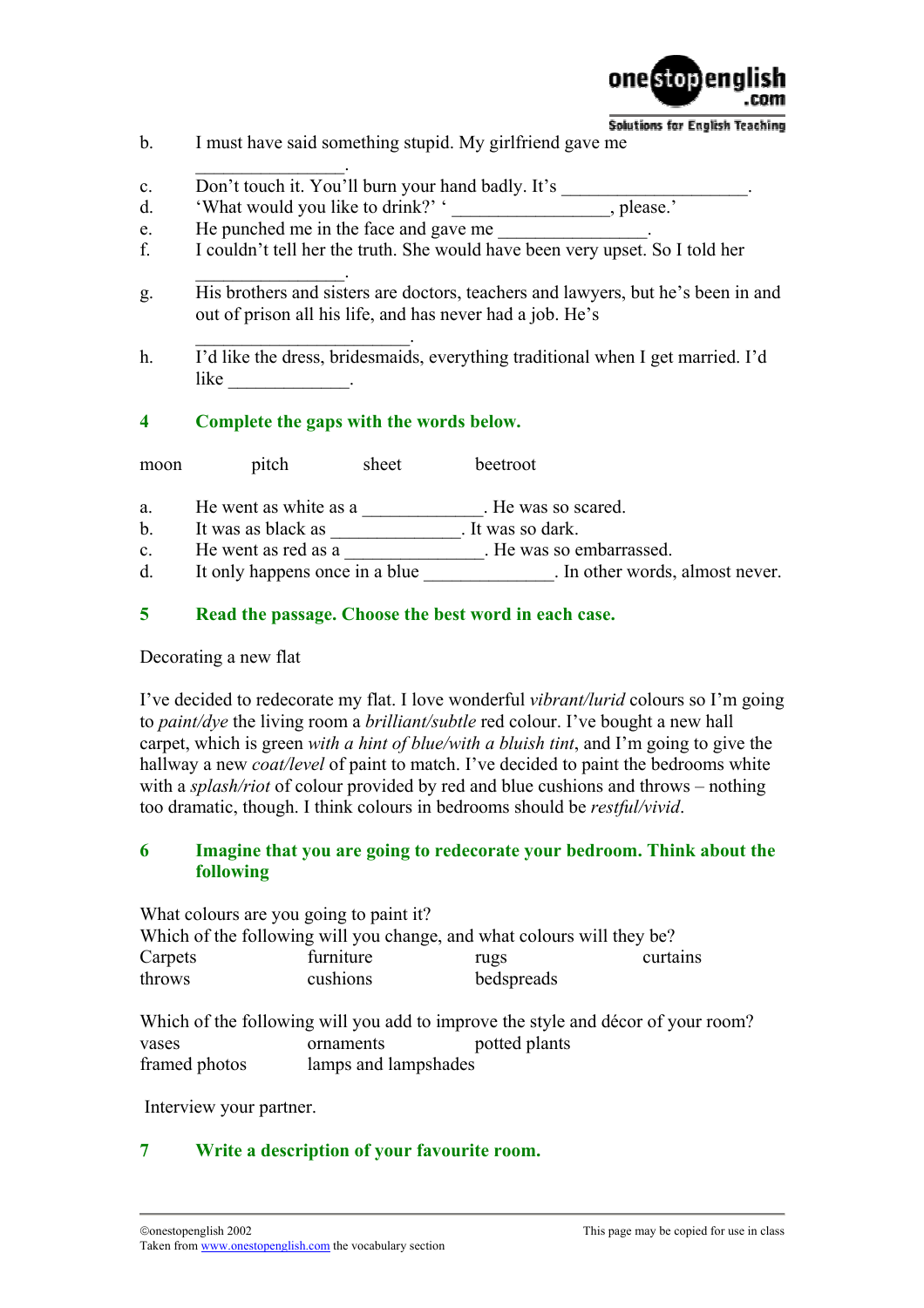

**Solutions for English Teaching** 

- b. I must have said something stupid. My girlfriend gave me
- $\mathcal{L}_\text{max}$  and  $\mathcal{L}_\text{max}$  and  $\mathcal{L}_\text{max}$ c. Don't touch it. You'll burn your hand badly. It's
- d.  $'$ What would you like to drink?'  $'$
- e. He punched me in the face and gave me
- f. I couldn't tell her the truth. She would have been very upset. So I told her
- $\mathcal{L}_\text{max}$  and  $\mathcal{L}_\text{max}$  and  $\mathcal{L}_\text{max}$ g. His brothers and sisters are doctors, teachers and lawyers, but he's been in and out of prison all his life, and has never had a job. He's
- h. I'd like the dress, bridesmaids, everything traditional when I get married. I'd like  $\qquad \qquad \qquad$

## **4 Complete the gaps with the words below.**

 $\mathcal{L}_\text{max}$  and  $\mathcal{L}_\text{max}$  and  $\mathcal{L}_\text{max}$ 

moon pitch sheet beetroot

- a. He went as white as a measured.
- b. It was as black as \_\_\_\_\_\_\_\_\_\_\_\_\_. It was so dark.
- c. He went as red as a \_\_\_\_\_\_\_\_\_\_\_\_\_. He was so embarrassed.
- d. It only happens once in a blue \_\_\_\_\_\_\_\_\_\_\_\_\_. In other words, almost never.

## **5 Read the passage. Choose the best word in each case.**

#### Decorating a new flat

I've decided to redecorate my flat. I love wonderful *vibrant/lurid* colours so I'm going to *paint/dye* the living room a *brilliant/subtle* red colour. I've bought a new hall carpet, which is green *with a hint of blue/with a bluish tint*, and I'm going to give the hallway a new *coat/level* of paint to match. I've decided to paint the bedrooms white with a *splash/riot* of colour provided by red and blue cushions and throws – nothing too dramatic, though. I think colours in bedrooms should be *restful/vivid*.

## **6 Imagine that you are going to redecorate your bedroom. Think about the following**

What colours are you going to paint it? Which of the following will you change, and what colours will they be? Carpets furniture rugs curtains throws cushions bedspreads Which of the following will you add to improve the style and décor of your room? vases ornaments potted plants

framed photos lamps and lampshades

Interview your partner.

# **7 Write a description of your favourite room.**